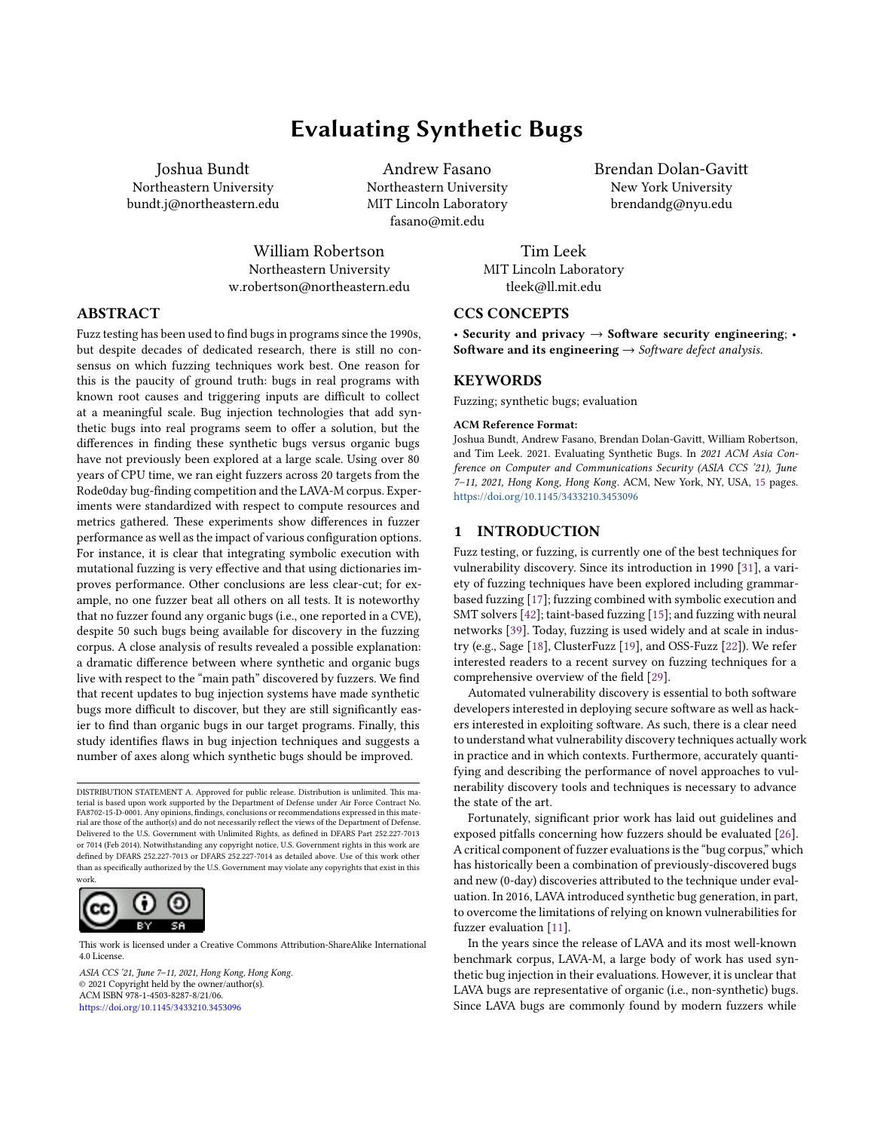# **Evaluating Synthetic Bugs**

Andrew Fasano Northeastern University MIT Lincoln Laboratory

Joshua Bundt Northeastern University bundt.j@northeastern.edu

> fasano@mit.edu William Robertson Northeastern University

w.robertson@northeastern.edu

Brendan Dolan-Gavitt New York University brendandg@nyu.edu

Tim Leek MIT Lincoln Laboratory tleek@ll.mit.edu

## **CCS CONCEPTS**

• **Security and privacy** → **Software security engineering**; • **Software and its engineering** → *Software defect analysis*.

## **KEYWORDS**

Fuzzing; synthetic bugs; evaluation

#### **ACM Reference Format:**

Joshua Bundt, Andrew Fasano, Brendan Dolan-Gavitt, William Robertson, and Tim Leek. 2021. Evaluating Synthetic Bugs. In *2021 ACM Asia Conference on Computer and Communications Security (ASIA CCS '21), June 7–11, 2021, Hong Kong, Hong Kong.* ACM, New York, NY, USA, [15](#page-14-0) pages. <https://doi.org/10.1145/3433210.3453096>

## **1 INTRODUCTION**

Fuzz testing, or fuzzing, is currently one of the best techniques for vulnerability discovery. Since its introduction in 1990[[31](#page-12-0)], a variety of fuzzing techniques have been explored including grammarbased fuzzing [\[17\]](#page-12-1); fuzzing combined with symbolic execution and SMT solvers [\[42\]](#page-12-2); taint-based fuzzing [\[15](#page-12-3)]; and fuzzing with neural networks[[39\]](#page-12-4). Today, fuzzing is used widely and at scale in industry (e.g., Sage[[18\]](#page-12-5), ClusterFuzz[[19](#page-12-6)], and OSS-Fuzz[[22\]](#page-12-7)). We refer interested readers to a recent survey on fuzzing techniques for a comprehensive overview of the field [\[29\]](#page-12-8).

Automated vulnerability discovery is essential to both software developers interested in deploying secure software as well as hackers interested in exploiting software. As such, there is a clear need to understand what vulnerability discovery techniques actually work in practice and in which contexts. Furthermore, accurately quantifying and describing the performance of novel approaches to vulnerability discovery tools and techniques is necessary to advance the state of the art.

Fortunately, significant prior work has laid out guidelines and exposed pitfalls concerning how fuzzers should be evaluated [\[26](#page-12-9)]. A critical component of fuzzer evaluations is the "bug corpus," which has historically been a combination of previously-discovered bugs and new (0-day) discoveries attributed to the technique under evaluation. In 2016, LAVA introduced synthetic bug generation, in part, to overcome the limitations of relying on known vulnerabilities for fuzzer evaluation [\[11\]](#page-12-10).

In the years since the release of LAVA and its most well-known benchmark corpus, LAVA-M, a large body of work has used synthetic bug injection in their evaluations. However, it is unclear that LAVA bugs are representative of organic (i.e., non-synthetic) bugs. Since LAVA bugs are commonly found by modern fuzzers while

# **ABSTRACT**

Fuzz testing has been used to find bugs in programs since the 1990s, but despite decades of dedicated research, there is still no consensus on which fuzzing techniques work best. One reason for this is the paucity of ground truth: bugs in real programs with known root causes and triggering inputs are difficult to collect at a meaningful scale. Bug injection technologies that add synthetic bugs into real programs seem to offer a solution, but the differences in finding these synthetic bugs versus organic bugs have not previously been explored at a large scale. Using over 80 years of CPU time, we ran eight fuzzers across 20 targets from the Rode0day bug-finding competition and the LAVA-M corpus. Experiments were standardized with respect to compute resources and metrics gathered. These experiments show differences in fuzzer performance as well as the impact of various configuration options. For instance, it is clear that integrating symbolic execution with mutational fuzzing is very effective and that using dictionaries improves performance. Other conclusions are less clear-cut; for example, no one fuzzer beat all others on all tests. It is noteworthy that no fuzzer found any organic bugs (i.e., one reported in a CVE), despite 50 such bugs being available for discovery in the fuzzing corpus. A close analysis of results revealed a possible explanation: a dramatic difference between where synthetic and organic bugs live with respect to the "main path" discovered by fuzzers. We find that recent updates to bug injection systems have made synthetic bugs more difficult to discover, but they are still significantly easier to find than organic bugs in our target programs. Finally, this study identifies flaws in bug injection techniques and suggests a number of axes along which synthetic bugs should be improved.

DISTRIBUTION STATEMENT A. Approved for public release. Distribution is unlimited. This material is based upon work supported by the Department of Defense under Air Force Contract No. FA8702-15-D-0001. Any opinions, findings, conclusions or recommendations expressed in this material are those of the author(s) and do not necessarily reflect the views of the Department of Defense. Delivered to the U.S. Government with Unlimited Rights, as defined in DFARS Part 252.227-7013 or 7014 (Feb 2014). Notwithstanding any copyright notice, U.S. Government rights in this work are defined by DFARS 252.227-7013 or DFARS 252.227-7014 as detailed above. Use of this work other than as specifically authorized by the U.S. Government may violate any copyrights that exist in this work.



This work is licensed under a Creative Commons Attribution-ShareAlike International 4.0 License. 4.0 License.

*ASIA CCS '21, June 7–11, 2021, Hong Kong, Hong Kong ASIA CCS '21, June 7–11, 2021, Hong Kong, Hong Kong.* © 2021 Copyright held by the owner/author(s). © 2021 Copyright held by the owner/author(s). ACM ISBN 978-1-4503-8287-8/21/06. ACM ISBN 978-1-4503-8287-8/21/06. <https://doi.org/10.1145/3433210.3453096> https://doi.org/10.1145/3433210.3453096